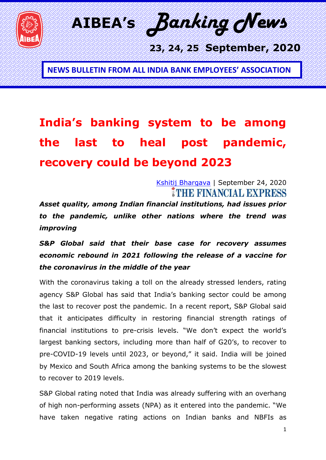

**AIBEA's** *Banking News* 

 **23, 24, 25 September, 2020**

**NEWS BULLETIN FROM ALL INDIA BANK EMPLOYEES' ASSOCIATION**

## **India's banking system to be among the last to heal post pandemic, recovery could be beyond 2023**

[Kshitij Bhargava](https://www.financialexpress.com/author/kshitij/) | September 24, 2020 MNH DINANGKU DIXPRESS

*Asset quality, among Indian financial institutions, had issues prior to the pandemic, unlike other nations where the trend was improving*

*S&P Global said that their base case for recovery assumes economic rebound in 2021 following the release of a vaccine for the coronavirus in the middle of the year*

With the coronavirus taking a toll on the already stressed lenders, rating agency S&P Global has said that India's banking sector could be among the last to recover post the pandemic. In a recent report, S&P Global said that it anticipates difficulty in restoring financial strength ratings of financial institutions to pre-crisis levels. "We don't expect the world's largest banking sectors, including more than half of G20's, to recover to pre-COVID-19 levels until 2023, or beyond," it said. India will be joined by Mexico and South Africa among the banking systems to be the slowest to recover to 2019 levels.

S&P Global rating noted that India was already suffering with an overhang of high non-performing assets (NPA) as it entered into the pandemic. "We have taken negative rating actions on Indian banks and NBFIs as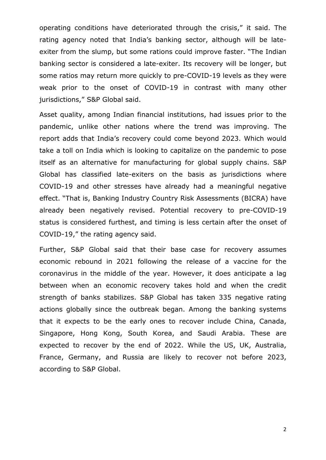operating conditions have deteriorated through the crisis," it said. The rating agency noted that India's banking sector, although will be lateexiter from the slump, but some rations could improve faster. "The Indian banking sector is considered a late-exiter. Its recovery will be longer, but some ratios may return more quickly to pre-COVID-19 levels as they were weak prior to the onset of COVID-19 in contrast with many other jurisdictions," S&P Global said.

Asset quality, among Indian financial institutions, had issues prior to the pandemic, unlike other nations where the trend was improving. The report adds that India's recovery could come beyond 2023. Which would take a toll on India which is looking to capitalize on the pandemic to pose itself as an alternative for manufacturing for global supply chains. S&P Global has classified late-exiters on the basis as jurisdictions where COVID-19 and other stresses have already had a meaningful negative effect. "That is, Banking Industry Country Risk Assessments (BICRA) have already been negatively revised. Potential recovery to pre-COVID-19 status is considered furthest, and timing is less certain after the onset of COVID-19," the rating agency said.

Further, S&P Global said that their base case for recovery assumes economic rebound in 2021 following the release of a vaccine for the coronavirus in the middle of the year. However, it does anticipate a lag between when an economic recovery takes hold and when the credit strength of banks stabilizes. S&P Global has taken 335 negative rating actions globally since the outbreak began. Among the banking systems that it expects to be the early ones to recover include China, Canada, Singapore, Hong Kong, South Korea, and Saudi Arabia. These are expected to recover by the end of 2022. While the US, UK, Australia, France, Germany, and Russia are likely to recover not before 2023, according to S&P Global.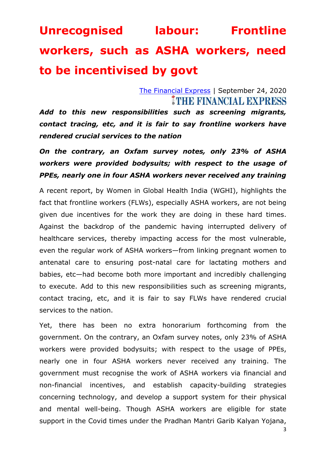## **Unrecognised labour: Frontline workers, such as ASHA workers, need to be incentivised by govt**

#### [The Financial Express](https://www.financialexpress.com/author/the-financial-express/) | September 24, 2020 **THE FINANCIAL EXPRESS**

*Add to this new responsibilities such as screening migrants, contact tracing, etc, and it is fair to say frontline workers have rendered crucial services to the nation*

### *On the contrary, an Oxfam survey notes, only 23% of ASHA workers were provided bodysuits; with respect to the usage of PPEs, nearly one in four ASHA workers never received any training*

A recent report, by Women in Global Health India (WGHI), highlights the fact that frontline workers (FLWs), especially ASHA workers, are not being given due incentives for the work they are doing in these hard times. Against the backdrop of the pandemic having interrupted delivery of healthcare services, thereby impacting access for the most vulnerable, even the regular work of ASHA workers—from linking pregnant women to antenatal care to ensuring post-natal care for lactating mothers and babies, etc—had become both more important and incredibly challenging to execute. Add to this new responsibilities such as screening migrants, contact tracing, etc, and it is fair to say FLWs have rendered crucial services to the nation.

Yet, there has been no extra honorarium forthcoming from the government. On the contrary, an Oxfam survey notes, only 23% of ASHA workers were provided bodysuits; with respect to the usage of PPEs, nearly one in four ASHA workers never received any training. The government must recognise the work of ASHA workers via financial and non-financial incentives, and establish capacity-building strategies concerning technology, and develop a support system for their physical and mental well-being. Though ASHA workers are eligible for state support in the Covid times under the Pradhan Mantri Garib Kalyan Yojana,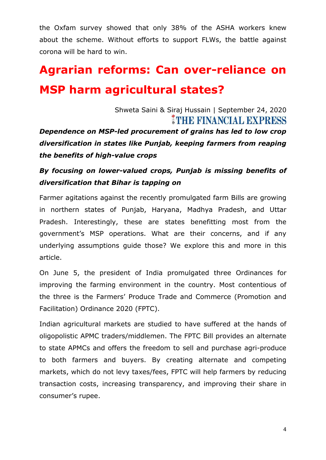the Oxfam survey showed that only 38% of the ASHA workers knew about the scheme. Without efforts to support FLWs, the battle against corona will be hard to win.

## **Agrarian reforms: Can over-reliance on MSP harm agricultural states?**

Shweta Saini & Siraj Hussain | September 24, 2020 **THE FINANCIAL EXPRESS** 

*Dependence on MSP-led procurement of grains has led to low crop diversification in states like Punjab, keeping farmers from reaping the benefits of high-value crops*

### *By focusing on lower-valued crops, Punjab is missing benefits of diversification that Bihar is tapping on*

Farmer agitations against the recently promulgated farm Bills are growing in northern states of Punjab, Haryana, Madhya Pradesh, and Uttar Pradesh. Interestingly, these are states benefitting most from the government's MSP operations. What are their concerns, and if any underlying assumptions guide those? We explore this and more in this article.

On June 5, the president of India promulgated three Ordinances for improving the farming environment in the country. Most contentious of the three is the Farmers' Produce Trade and Commerce (Promotion and Facilitation) Ordinance 2020 (FPTC).

Indian agricultural markets are studied to have suffered at the hands of oligopolistic APMC traders/middlemen. The FPTC Bill provides an alternate to state APMCs and offers the freedom to sell and purchase agri-produce to both farmers and buyers. By creating alternate and competing markets, which do not levy taxes/fees, FPTC will help farmers by reducing transaction costs, increasing transparency, and improving their share in consumer's rupee.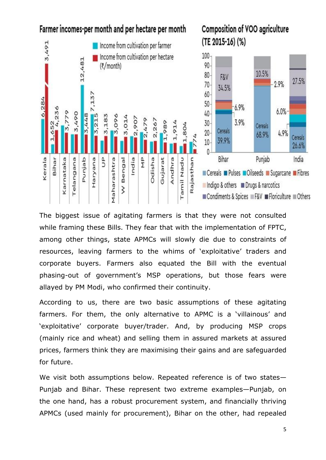

The biggest issue of agitating farmers is that they were not consulted while framing these Bills. They fear that with the implementation of FPTC, among other things, state APMCs will slowly die due to constraints of resources, leaving farmers to the whims of 'exploitative' traders and corporate buyers. Farmers also equated the Bill with the eventual phasing-out of government's MSP operations, but those fears were allayed by PM Modi, who confirmed their continuity.

According to us, there are two basic assumptions of these agitating farmers. For them, the only alternative to APMC is a 'villainous' and ‗exploitative' corporate buyer/trader. And, by producing MSP crops (mainly rice and wheat) and selling them in assured markets at assured prices, farmers think they are maximising their gains and are safeguarded for future.

We visit both assumptions below. Repeated reference is of two states— Punjab and Bihar. These represent two extreme examples—Punjab, on the one hand, has a robust procurement system, and financially thriving APMCs (used mainly for procurement), Bihar on the other, had repealed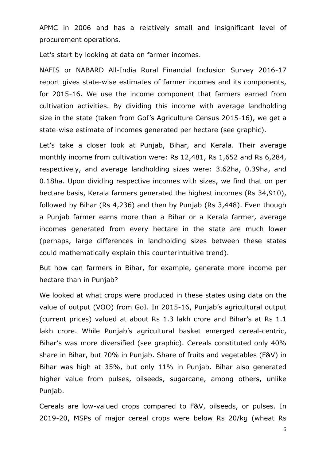APMC in 2006 and has a relatively small and insignificant level of procurement operations.

Let's start by looking at data on farmer incomes.

NAFIS or NABARD All-India Rural Financial Inclusion Survey 2016-17 report gives state-wise estimates of farmer incomes and its components, for 2015-16. We use the income component that farmers earned from cultivation activities. By dividing this income with average landholding size in the state (taken from GoI's Agriculture Census 2015-16), we get a state-wise estimate of incomes generated per hectare (see graphic).

Let's take a closer look at Punjab, Bihar, and Kerala. Their average monthly income from cultivation were: Rs 12,481, Rs 1,652 and Rs 6,284, respectively, and average landholding sizes were: 3.62ha, 0.39ha, and 0.18ha. Upon dividing respective incomes with sizes, we find that on per hectare basis, Kerala farmers generated the highest incomes (Rs 34,910), followed by Bihar (Rs 4,236) and then by Punjab (Rs 3,448). Even though a Punjab farmer earns more than a Bihar or a Kerala farmer, average incomes generated from every hectare in the state are much lower (perhaps, large differences in landholding sizes between these states could mathematically explain this counterintuitive trend).

But how can farmers in Bihar, for example, generate more income per hectare than in Punjab?

We looked at what crops were produced in these states using data on the value of output (VOO) from GoI. In 2015-16, Punjab's agricultural output (current prices) valued at about Rs 1.3 lakh crore and Bihar's at Rs 1.1 lakh crore. While Punjab's agricultural basket emerged cereal-centric, Bihar's was more diversified (see graphic). Cereals constituted only 40% share in Bihar, but 70% in Punjab. Share of fruits and vegetables (F&V) in Bihar was high at 35%, but only 11% in Punjab. Bihar also generated higher value from pulses, oilseeds, sugarcane, among others, unlike Punjab.

Cereals are low-valued crops compared to F&V, oilseeds, or pulses. In 2019-20, MSPs of major cereal crops were below Rs 20/kg (wheat Rs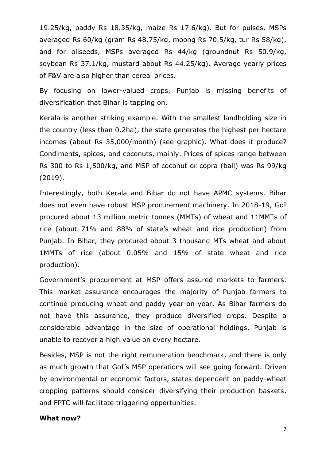19.25/kg, paddy Rs 18.35/kg, maize Rs 17.6/kg). But for pulses, MSPs averaged Rs 60/kg (gram Rs 48.75/kg, moong Rs 70.5/kg, tur Rs 58/kg), and for oilseeds, MSPs averaged Rs 44/kg (groundnut Rs 50.9/kg, soybean Rs 37.1/kg, mustard about Rs 44.25/kg). Average yearly prices of F&V are also higher than cereal prices.

By focusing on lower-valued crops, Punjab is missing benefits of diversification that Bihar is tapping on.

Kerala is another striking example. With the smallest landholding size in the country (less than 0.2ha), the state generates the highest per hectare incomes (about Rs 35,000/month) (see graphic). What does it produce? Condiments, spices, and coconuts, mainly. Prices of spices range between Rs 300 to Rs 1,500/kg, and MSP of coconut or copra (ball) was Rs 99/kg (2019).

Interestingly, both Kerala and Bihar do not have APMC systems. Bihar does not even have robust MSP procurement machinery. In 2018-19, GoI procured about 13 million metric tonnes (MMTs) of wheat and 11MMTs of rice (about 71% and 88% of state's wheat and rice production) from Punjab. In Bihar, they procured about 3 thousand MTs wheat and about 1MMTs of rice (about 0.05% and 15% of state wheat and rice production).

Government's procurement at MSP offers assured markets to farmers. This market assurance encourages the majority of Punjab farmers to continue producing wheat and paddy year-on-year. As Bihar farmers do not have this assurance, they produce diversified crops. Despite a considerable advantage in the size of operational holdings, Punjab is unable to recover a high value on every hectare.

Besides, MSP is not the right remuneration benchmark, and there is only as much growth that GoI's MSP operations will see going forward. Driven by environmental or economic factors, states dependent on paddy-wheat cropping patterns should consider diversifying their production baskets, and FPTC will facilitate triggering opportunities.

#### **What now?**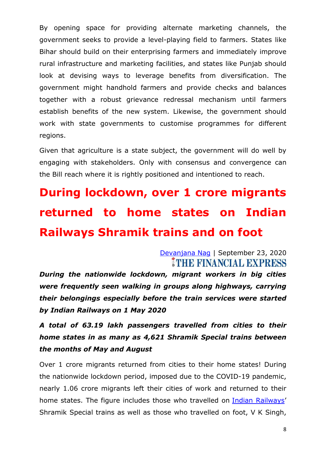By opening space for providing alternate marketing channels, the government seeks to provide a level-playing field to farmers. States like Bihar should build on their enterprising farmers and immediately improve rural infrastructure and marketing facilities, and states like Punjab should look at devising ways to leverage benefits from diversification. The government might handhold farmers and provide checks and balances together with a robust grievance redressal mechanism until farmers establish benefits of the new system. Likewise, the government should work with state governments to customise programmes for different regions.

Given that agriculture is a state subject, the government will do well by engaging with stakeholders. Only with consensus and convergence can the Bill reach where it is rightly positioned and intentioned to reach.

# **During lockdown, over 1 crore migrants returned to home states on Indian Railways Shramik trains and on foot**

[Devanjana Nag](https://www.financialexpress.com/author/devanjana-nag/) | September 23, 2020 THE FINANCIAL EXPRESS

*During the nationwide lockdown, migrant workers in big cities were frequently seen walking in groups along highways, carrying their belongings especially before the train services were started by Indian Railways on 1 May 2020*

*A total of 63.19 lakh passengers travelled from cities to their home states in as many as 4,621 Shramik Special trains between the months of May and August*

Over 1 crore migrants returned from cities to their home states! During the nationwide lockdown period, imposed due to the COVID-19 pandemic, nearly 1.06 crore migrants left their cities of work and returned to their home states. The figure includes those who travelled on Indian [Railways](https://www.financialexpress.com/tag/indian-railways/)' Shramik Special trains as well as those who travelled on foot, V K Singh,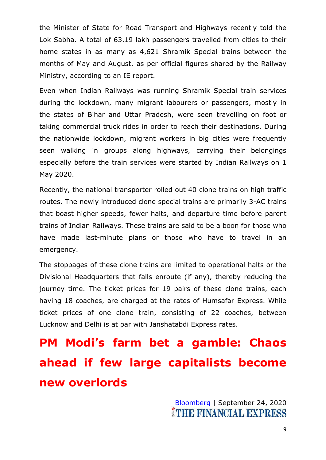the Minister of State for Road Transport and Highways recently told the Lok Sabha. A total of 63.19 lakh passengers travelled from cities to their home states in as many as 4,621 Shramik Special trains between the months of May and August, as per official figures shared by the Railway Ministry, according to an IE report.

Even when Indian Railways was running Shramik Special train services during the lockdown, many migrant labourers or passengers, mostly in the states of Bihar and Uttar Pradesh, were seen travelling on foot or taking commercial truck rides in order to reach their destinations. During the nationwide lockdown, migrant workers in big cities were frequently seen walking in groups along highways, carrying their belongings especially before the train services were started by Indian Railways on 1 May 2020.

Recently, the national transporter rolled out 40 clone trains on high traffic routes. The newly introduced clone special trains are primarily 3-AC trains that boast higher speeds, fewer halts, and departure time before parent trains of Indian Railways. These trains are said to be a boon for those who have made last-minute plans or those who have to travel in an emergency.

The stoppages of these clone trains are limited to operational halts or the Divisional Headquarters that falls enroute (if any), thereby reducing the journey time. The ticket prices for 19 pairs of these clone trains, each having 18 coaches, are charged at the rates of Humsafar Express. While ticket prices of one clone train, consisting of 22 coaches, between Lucknow and Delhi is at par with Janshatabdi Express rates.

**PM Modi's farm bet a gamble: Chaos ahead if few large capitalists become new overlords**

> [Bloomberg](https://www.financialexpress.com/author/bloomberg/) | September 24, 2020**THE FINANCIAL EXPRESS**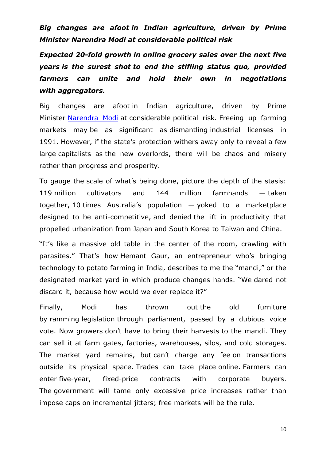*Big changes are afoot in Indian agriculture, driven by Prime Minister Narendra Modi at considerable political risk*

*Expected 20-fold growth in online grocery sales over the next five years is the surest shot to end the stifling status quo, provided farmers can unite and hold their own in negotiations with aggregators.*

Big changes are afoot in Indian agriculture, driven by Prime Minister [Narendra](https://www.financialexpress.com/tag/narendra-modi/) Modi at considerable political risk. Freeing up farming markets may be as significant as dismantling industrial licenses in 1991. However, if the state's protection withers away only to reveal a few large capitalists as the new overlords, there will be chaos and misery rather than progress and prosperity.

To gauge the scale of what's being done, picture the depth of the stasis: 119 million cultivators and 144 million farmhands — taken together, 10 times Australia's population — yoked to a marketplace designed to be anti-competitive, and denied the lift in productivity that propelled urbanization from Japan and South Korea to Taiwan and China.

"It's like a massive old table in the center of the room, crawling with parasites." That's how Hemant Gaur, an entrepreneur who's bringing technology to potato farming in India, describes to me the "mandi," or the designated market yard in which produce changes hands. "We dared not discard it, because how would we ever replace it?"

Finally, Modi has thrown out the old furniture by ramming legislation through parliament, passed by a dubious voice vote. Now growers don't have to bring their harvests to the mandi. They can sell it at farm gates, factories, warehouses, silos, and cold storages. The market yard remains, but can't charge any fee on transactions outside its physical space. Trades can take place online. Farmers can enter five-year, fixed-price contracts with corporate buyers. The government will tame only excessive price increases rather than impose caps on incremental jitters; free markets will be the rule.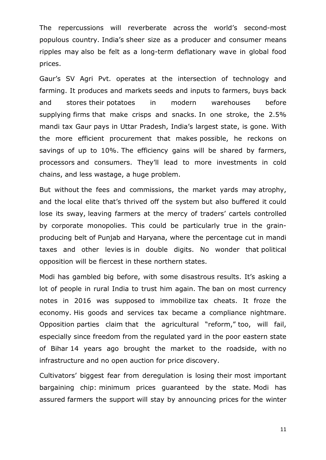The repercussions will reverberate across the world's second-most populous country. India's sheer size as a producer and consumer means ripples may also be felt as a long-term deflationary wave in global food prices.

Gaur's SV Agri Pvt. operates at the intersection of technology and farming. It produces and markets seeds and inputs to farmers, buys back and stores their potatoes in modern warehouses before supplying firms that make crisps and snacks. In one stroke, the 2.5% mandi tax Gaur pays in Uttar Pradesh, India's largest state, is gone. With the more efficient procurement that makes possible, he reckons on savings of up to 10%. The efficiency gains will be shared by farmers, processors and consumers. They'll lead to more investments in cold chains, and less wastage, a huge problem.

But without the fees and commissions, the market yards may atrophy, and the local elite that's thrived off the system but also buffered it could lose its sway, leaving farmers at the mercy of traders' cartels controlled by corporate monopolies. This could be particularly true in the grainproducing belt of Punjab and Haryana, where the percentage cut in mandi taxes and other levies is in double digits. No wonder that political opposition will be fiercest in these northern states.

Modi has gambled big before, with some disastrous results. It's asking a lot of people in rural India to trust him again. The ban on most currency notes in 2016 was supposed to immobilize tax cheats. It froze the economy. His goods and services tax became a compliance nightmare. Opposition parties claim that the agricultural "reform," too, will fail, especially since freedom from the regulated yard in the poor eastern state of Bihar 14 years ago brought the market to the roadside, with no infrastructure and no open auction for price discovery.

Cultivators' biggest fear from deregulation is losing their most important bargaining chip: minimum prices guaranteed by the state. Modi has assured farmers the support will stay by announcing prices for the winter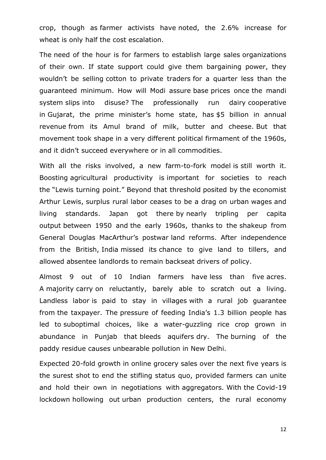crop, though as farmer activists have noted, the 2.6% increase for wheat is only half the cost escalation.

The need of the hour is for farmers to establish large sales organizations of their own. If state support could give them bargaining power, they wouldn't be selling cotton to private traders for a quarter less than the guaranteed minimum. How will Modi assure base prices once the mandi system slips into disuse? The professionally run dairy cooperative in Gujarat, the prime minister's home state, has \$5 billion in annual revenue from its Amul brand of milk, butter and cheese. But that movement took shape in a very different political firmament of the 1960s, and it didn't succeed everywhere or in all commodities.

With all the risks involved, a new farm-to-fork model is still worth it. Boosting agricultural productivity is important for societies to reach the "Lewis turning point." Beyond that threshold posited by the economist Arthur Lewis, surplus rural labor ceases to be a drag on urban wages and living standards. Japan got there by nearly tripling per capita output between 1950 and the early 1960s, thanks to the shakeup from General Douglas MacArthur's postwar land reforms. After independence from the British, India missed its chance to give land to tillers, and allowed absentee landlords to remain backseat drivers of policy.

Almost 9 out of 10 Indian farmers have less than five acres. A majority carry on reluctantly, barely able to scratch out a living. Landless labor is paid to stay in villages with a rural job guarantee from the taxpayer. The pressure of feeding India's 1.3 billion people has led to suboptimal choices, like a water-guzzling rice crop grown in abundance in Punjab that bleeds aquifers dry. The burning of the paddy residue causes unbearable pollution in New Delhi.

Expected 20-fold growth in online grocery sales over the next five years is the surest shot to end the stifling status quo, provided farmers can unite and hold their own in negotiations with aggregators. With the Covid-19 lockdown hollowing out urban production centers, the rural economy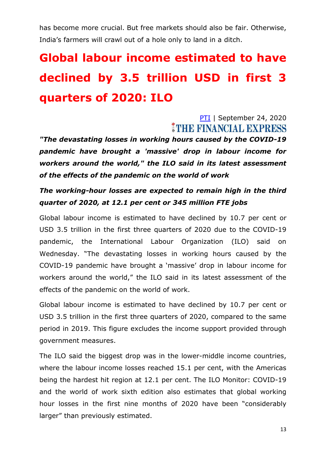has become more crucial. But free markets should also be fair. Otherwise, India's farmers will crawl out of a hole only to land in a ditch.

## **Global labour income estimated to have declined by 3.5 trillion USD in first 3 quarters of 2020: ILO**

### [PTI](https://www.financialexpress.com/author/pti/) | September 24, 2020 THE FINANCIAL EXPRESS

*"The devastating losses in working hours caused by the COVID-19 pandemic have brought a 'massive' drop in labour income for workers around the world," the ILO said in its latest assessment of the effects of the pandemic on the world of work*

### *The working-hour losses are expected to remain high in the third quarter of 2020, at 12.1 per cent or 345 million FTE jobs*

Global labour income is estimated to have declined by 10.7 per cent or USD 3.5 trillion in the first three quarters of 2020 due to the COVID-19 pandemic, the International Labour Organization (ILO) said on Wednesday. "The devastating losses in working hours caused by the COVID-19 pandemic have brought a 'massive' drop in labour income for workers around the world," the ILO said in its latest assessment of the effects of the pandemic on the world of work.

Global labour income is estimated to have declined by 10.7 per cent or USD 3.5 trillion in the first three quarters of 2020, compared to the same period in 2019. This figure excludes the income support provided through government measures.

The ILO said the biggest drop was in the lower-middle income countries, where the labour income losses reached 15.1 per cent, with the Americas being the hardest hit region at 12.1 per cent. The ILO Monitor: COVID-19 and the world of work sixth edition also estimates that global working hour losses in the first nine months of 2020 have been "considerably larger" than previously estimated.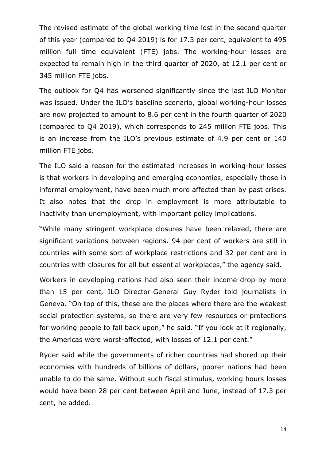The revised estimate of the global working time lost in the second quarter of this year (compared to Q4 2019) is for 17.3 per cent, equivalent to 495 million full time equivalent (FTE) jobs. The working-hour losses are expected to remain high in the third quarter of 2020, at 12.1 per cent or 345 million FTE jobs.

The outlook for Q4 has worsened significantly since the last ILO Monitor was issued. Under the ILO's baseline scenario, global working-hour losses are now projected to amount to 8.6 per cent in the fourth quarter of 2020 (compared to Q4 2019), which corresponds to 245 million FTE jobs. This is an increase from the ILO's previous estimate of 4.9 per cent or 140 million FTE jobs.

The ILO said a reason for the estimated increases in working-hour losses is that workers in developing and emerging economies, especially those in informal employment, have been much more affected than by past crises. It also notes that the drop in employment is more attributable to inactivity than unemployment, with important policy implications.

"While many stringent workplace closures have been relaxed, there are significant variations between regions. 94 per cent of workers are still in countries with some sort of workplace restrictions and 32 per cent are in countries with closures for all but essential workplaces," the agency said.

Workers in developing nations had also seen their income drop by more than 15 per cent, ILO Director-General Guy Ryder told journalists in Geneva. "On top of this, these are the places where there are the weakest social protection systems, so there are very few resources or protections for working people to fall back upon," he said. "If you look at it regionally, the Americas were worst-affected, with losses of 12.1 per cent."

Ryder said while the governments of richer countries had shored up their economies with hundreds of billions of dollars, poorer nations had been unable to do the same. Without such fiscal stimulus, working hours losses would have been 28 per cent between April and June, instead of 17.3 per cent, he added.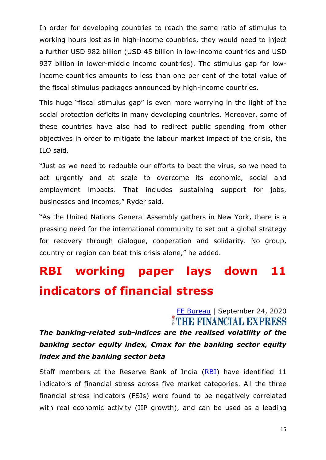In order for developing countries to reach the same ratio of stimulus to working hours lost as in high-income countries, they would need to inject a further USD 982 billion (USD 45 billion in low-income countries and USD 937 billion in lower-middle income countries). The stimulus gap for lowincome countries amounts to less than one per cent of the total value of the fiscal stimulus packages announced by high-income countries.

This huge "fiscal stimulus gap" is even more worrying in the light of the social protection deficits in many developing countries. Moreover, some of these countries have also had to redirect public spending from other objectives in order to mitigate the labour market impact of the crisis, the ILO said.

"Just as we need to redouble our efforts to beat the virus, so we need to act urgently and at scale to overcome its economic, social and employment impacts. That includes sustaining support for jobs, businesses and incomes," Ryder said.

"As the United Nations General Assembly gathers in New York, there is a pressing need for the international community to set out a global strategy for recovery through dialogue, cooperation and solidarity. No group, country or region can beat this crisis alone," he added.

## **RBI working paper lays down 11 indicators of financial stress**

### [FE Bureau](https://www.financialexpress.com/author/fe-bureau/) | September 24, 2020 THE FINANCIAL EXPRESS

*The banking-related sub-indices are the realised volatility of the banking sector equity index, Cmax for the banking sector equity index and the banking sector beta*

Staff members at the Reserve Bank of India [\(RBI\)](https://www.financialexpress.com/tag/rbi/) have identified 11 indicators of financial stress across five market categories. All the three financial stress indicators (FSIs) were found to be negatively correlated with real economic activity (IIP growth), and can be used as a leading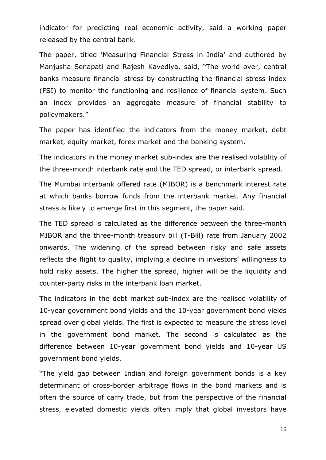indicator for predicting real economic activity, said a working paper released by the central bank.

The paper, titled 'Measuring Financial Stress in India' and authored by Manjusha Senapati and Rajesh Kavediya, said, "The world over, central banks measure financial stress by constructing the financial stress index (FSI) to monitor the functioning and resilience of financial system. Such an index provides an aggregate measure of financial stability to policymakers."

The paper has identified the indicators from the money market, debt market, equity market, forex market and the banking system.

The indicators in the money market sub-index are the realised volatility of the three-month interbank rate and the TED spread, or interbank spread.

The Mumbai interbank offered rate (MIBOR) is a benchmark interest rate at which banks borrow funds from the interbank market. Any financial stress is likely to emerge first in this segment, the paper said.

The TED spread is calculated as the difference between the three-month MIBOR and the three-month treasury bill (T-Bill) rate from January 2002 onwards. The widening of the spread between risky and safe assets reflects the flight to quality, implying a decline in investors' willingness to hold risky assets. The higher the spread, higher will be the liquidity and counter-party risks in the interbank loan market.

The indicators in the debt market sub-index are the realised volatility of 10-year government bond yields and the 10-year government bond yields spread over global yields. The first is expected to measure the stress level in the government bond market. The second is calculated as the difference between 10-year government bond yields and 10-year US government bond yields.

"The yield gap between Indian and foreign government bonds is a key determinant of cross-border arbitrage flows in the bond markets and is often the source of carry trade, but from the perspective of the financial stress, elevated domestic yields often imply that global investors have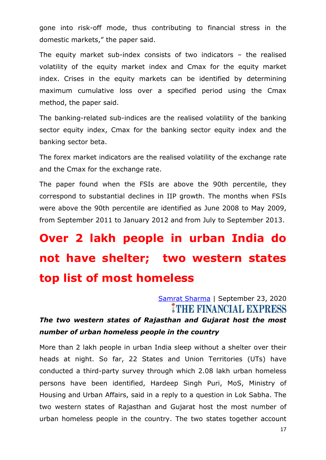gone into risk-off mode, thus contributing to financial stress in the domestic markets," the paper said.

The equity market sub-index consists of two indicators – the realised volatility of the equity market index and Cmax for the equity market index. Crises in the equity markets can be identified by determining maximum cumulative loss over a specified period using the Cmax method, the paper said.

The banking-related sub-indices are the realised volatility of the banking sector equity index, Cmax for the banking sector equity index and the banking sector beta.

The forex market indicators are the realised volatility of the exchange rate and the Cmax for the exchange rate.

The paper found when the FSIs are above the 90th percentile, they correspond to substantial declines in IIP growth. The months when FSIs were above the 90th percentile are identified as June 2008 to May 2009, from September 2011 to January 2012 and from July to September 2013.

## **Over 2 lakh people in urban India do not have shelter; two western states top list of most homeless**

[Samrat Sharma](https://www.financialexpress.com/author/samrat-sharma/) | September 23, 2020 **MITHE FINANCIAL EXPRESS** 

### *The two western states of Rajasthan and Gujarat host the most number of urban homeless people in the country*

More than 2 lakh people in urban India sleep without a shelter over their heads at night. So far, 22 States and Union Territories (UTs) have conducted a third-party survey through which 2.08 lakh urban homeless persons have been identified, Hardeep Singh Puri, MoS, Ministry of Housing and Urban Affairs, said in a reply to a question in Lok Sabha. The two western states of Rajasthan and Gujarat host the most number of urban homeless people in the country. The two states together account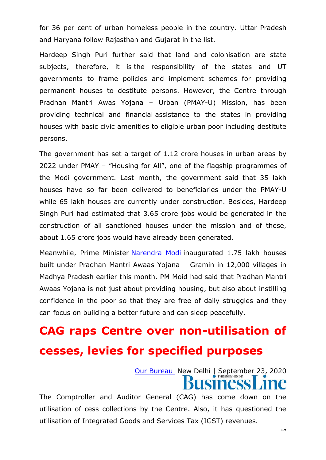for 36 per cent of urban homeless people in the country. Uttar Pradesh and Haryana follow Rajasthan and Gujarat in the list.

Hardeep Singh Puri further said that land and colonisation are state subjects, therefore, it is the responsibility of the states and UT governments to frame policies and implement schemes for providing permanent houses to destitute persons. However, the Centre through Pradhan Mantri Awas Yojana – Urban (PMAY-U) Mission, has been providing technical and financial assistance to the states in providing houses with basic civic amenities to eligible urban poor including destitute persons.

The government has set a target of 1.12 crore houses in urban areas by 2022 under PMAY – "Housing for All", one of the flagship programmes of the Modi government. Last month, the government said that 35 lakh houses have so far been delivered to beneficiaries under the PMAY-U while 65 lakh houses are currently under construction. Besides, Hardeep Singh Puri had estimated that 3.65 crore jobs would be generated in the construction of all sanctioned houses under the mission and of these, about 1.65 crore jobs would have already been generated.

Meanwhile, Prime Minister [Narendra](https://www.financialexpress.com/tag/narendra-modi/) Modi inaugurated 1.75 lakh houses built under Pradhan Mantri Awaas Yojana – Gramin in 12,000 villages in Madhya Pradesh earlier this month. PM Moid had said that Pradhan Mantri Awaas Yojana is not just about providing housing, but also about instilling confidence in the poor so that they are free of daily struggles and they can focus on building a better future and can sleep peacefully.

### **CAG raps Centre over non-utilisation of cesses, levies for specified purposes**

[Our Bureau](https://www.thehindubusinessline.com/profile/author/Our-Bureau-15447/) New Delhi | September 23, 2020 **SINCSS** 

The Comptroller and Auditor General (CAG) has come down on the utilisation of cess collections by the Centre. Also, it has questioned the utilisation of Integrated Goods and Services Tax (IGST) revenues.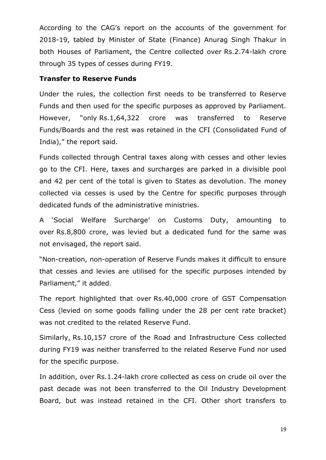According to the CAG's report on the accounts of the government for 2018-19, tabled by Minister of State (Finance) Anurag Singh Thakur in both Houses of Parliament, the Centre collected over Rs.2.74-lakh crore through 35 types of cesses during FY19.

#### **Transfer to Reserve Funds**

Under the rules, the collection first needs to be transferred to Reserve Funds and then used for the specific purposes as approved by Parliament. However, "only Rs.1,64,322 crore was transferred to Reserve Funds/Boards and the rest was retained in the CFI (Consolidated Fund of India)," the report said.

Funds collected through Central taxes along with cesses and other levies go to the CFI. Here, taxes and surcharges are parked in a divisible pool and 42 per cent of the total is given to States as devolution. The money collected via cesses is used by the Centre for specific purposes through dedicated funds of the administrative ministries.

A ‗Social Welfare Surcharge' on Customs Duty, amounting to over Rs.8,800 crore, was levied but a dedicated fund for the same was not envisaged, the report said.

―Non-creation, non-operation of Reserve Funds makes it difficult to ensure that cesses and levies are utilised for the specific purposes intended by Parliament," it added.

The report highlighted that over Rs.40,000 crore of GST Compensation Cess (levied on some goods falling under the 28 per cent rate bracket) was not credited to the related Reserve Fund.

Similarly, Rs.10,157 crore of the Road and Infrastructure Cess collected during FY19 was neither transferred to the related Reserve Fund nor used for the specific purpose.

In addition, over Rs.1.24-lakh crore collected as cess on crude oil over the past decade was not been transferred to the Oil Industry Development Board, but was instead retained in the CFI. Other short transfers to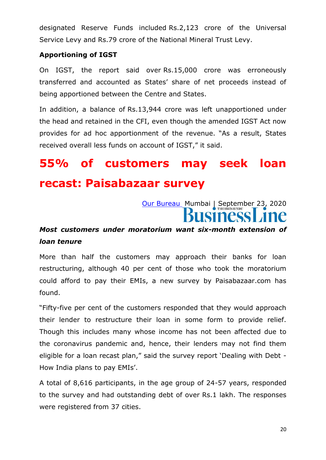designated Reserve Funds included Rs.2,123 crore of the Universal Service Levy and Rs.79 crore of the National Mineral Trust Levy.

#### **Apportioning of IGST**

On IGST, the report said over Rs.15,000 crore was erroneously transferred and accounted as States' share of net proceeds instead of being apportioned between the Centre and States.

In addition, a balance of Rs.13,944 crore was left unapportioned under the head and retained in the CFI, even though the amended IGST Act now provides for ad hoc apportionment of the revenue. "As a result, States received overall less funds on account of IGST," it said.

### **55% of customers may seek loan recast: Paisabazaar survey**

[Our Bureau](https://www.thehindubusinessline.com/profile/author/Our-Bureau-15447/) Mumbai | September 23, 2020 **ISINESS** 

### *Most customers under moratorium want six-month extension of loan tenure*

More than half the customers may approach their banks for loan restructuring, although 40 per cent of those who took the moratorium could afford to pay their EMIs, a new survey by Paisabazaar.com has found.

"Fifty-five per cent of the customers responded that they would approach their lender to restructure their loan in some form to provide relief. Though this includes many whose income has not been affected due to the coronavirus pandemic and, hence, their lenders may not find them eligible for a loan recast plan," said the survey report 'Dealing with Debt -How India plans to pay EMIs'.

A total of 8,616 participants, in the age group of 24-57 years, responded to the survey and had outstanding debt of over Rs.1 lakh. The responses were registered from 37 cities.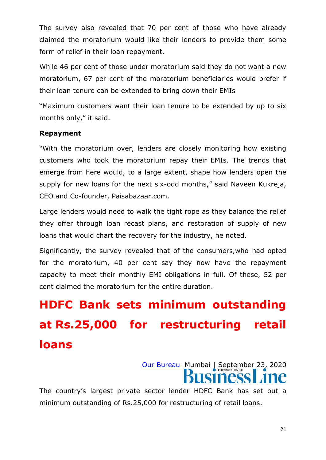The survey also revealed that 70 per cent of those who have already claimed the moratorium would like their lenders to provide them some form of relief in their loan repayment.

While 46 per cent of those under moratorium said they do not want a new moratorium, 67 per cent of the moratorium beneficiaries would prefer if their loan tenure can be extended to bring down their EMIs

"Maximum customers want their loan tenure to be extended by up to six months only," it said.

#### **Repayment**

"With the moratorium over, lenders are closely monitoring how existing customers who took the moratorium repay their EMIs. The trends that emerge from here would, to a large extent, shape how lenders open the supply for new loans for the next six-odd months," said Naveen Kukreja, CEO and Co-founder, Paisabazaar.com.

Large lenders would need to walk the tight rope as they balance the relief they offer through loan recast plans, and restoration of supply of new loans that would chart the recovery for the industry, he noted.

Significantly, the survey revealed that of the consumers,who had opted for the moratorium, 40 per cent say they now have the repayment capacity to meet their monthly EMI obligations in full. Of these, 52 per cent claimed the moratorium for the entire duration.

## **HDFC Bank sets minimum outstanding at Rs.25,000 for restructuring retail loans**

[Our Bureau](https://www.thehindubusinessline.com/profile/author/Our-Bureau-15447/) Mumbai | September 23, 2020

The country's largest private sector lender HDFC Bank has set out a minimum outstanding of Rs.25,000 for restructuring of retail loans.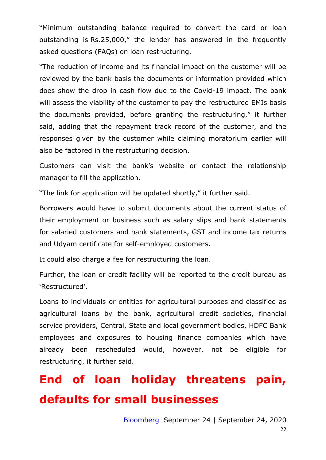"Minimum outstanding balance required to convert the card or loan outstanding is Rs.25,000," the lender has answered in the frequently asked questions (FAQs) on loan restructuring.

"The reduction of income and its financial impact on the customer will be reviewed by the bank basis the documents or information provided which does show the drop in cash flow due to the Covid-19 impact. The bank will assess the viability of the customer to pay the restructured EMIs basis the documents provided, before granting the restructuring," it further said, adding that the repayment track record of the customer, and the responses given by the customer while claiming moratorium earlier will also be factored in the restructuring decision.

Customers can visit the bank's website or contact the relationship manager to fill the application.

"The link for application will be updated shortly," it further said.

Borrowers would have to submit documents about the current status of their employment or business such as salary slips and bank statements for salaried customers and bank statements, GST and income tax returns and Udyam certificate for self-employed customers.

It could also charge a fee for restructuring the loan.

Further, the loan or credit facility will be reported to the credit bureau as ‗Restructured'.

Loans to individuals or entities for agricultural purposes and classified as agricultural loans by the bank, agricultural credit societies, financial service providers, Central, State and local government bodies, HDFC Bank employees and exposures to housing finance companies which have already been rescheduled would, however, not be eligible for restructuring, it further said.

### **End of loan holiday threatens pain, defaults for small businesses**

22 [Bloomberg](https://www.thehindubusinessline.com/profile/author/Bloomberg-20788/) September 24 | September 24, 2020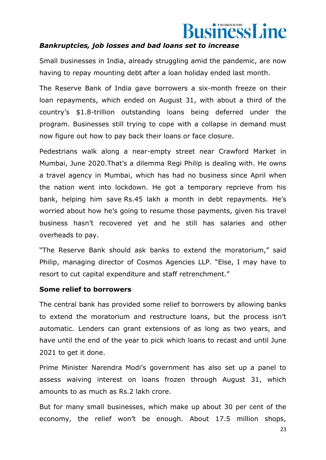# usinessLine

#### *Bankruptcies, job losses and bad loans set to increase*

Small businesses in India, already struggling amid the pandemic, are now having to repay mounting debt after a loan holiday ended last month.

The Reserve Bank of India gave borrowers a six-month freeze on their loan repayments, which ended on August 31, with about a third of the country's \$1.8-trillion outstanding loans being deferred under the program. Businesses still trying to cope with a collapse in demand must now figure out how to pay back their loans or face closure.

Pedestrians walk along a near-empty street near Crawford Market in Mumbai, June 2020.That's a dilemma Regi Philip is dealing with. He owns a travel agency in Mumbai, which has had no business since April when the nation went into lockdown. He got a temporary reprieve from his bank, helping him save Rs.45 lakh a month in debt repayments. He's worried about how he's going to resume those payments, given his travel business hasn't recovered yet and he still has salaries and other overheads to pay.

"The Reserve Bank should ask banks to extend the moratorium," said Philip, managing director of Cosmos Agencies LLP. "Else, I may have to resort to cut capital expenditure and staff retrenchment."

#### **Some relief to borrowers**

The central bank has provided some relief to borrowers by allowing banks to extend the moratorium and restructure loans, but the process isn't automatic. Lenders can grant extensions of as long as two years, and have until the end of the year to pick which loans to recast and until June 2021 to get it done.

Prime Minister Narendra Modi's government has also set up a panel to assess waiving interest on loans frozen through August 31, which amounts to as much as Rs.2 lakh crore.

But for many small businesses, which make up about 30 per cent of the economy, the relief won't be enough. About 17.5 million shops,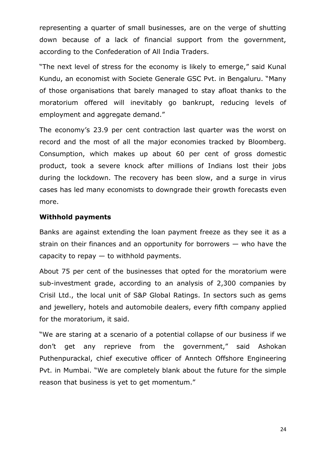representing a quarter of small businesses, are on the verge of shutting down because of a lack of financial support from the government, according to the Confederation of All India Traders.

"The next level of stress for the economy is likely to emerge," said Kunal Kundu, an economist with Societe Generale GSC Pvt. in Bengaluru. "Many of those organisations that barely managed to stay afloat thanks to the moratorium offered will inevitably go bankrupt, reducing levels of employment and aggregate demand."

The economy's 23.9 per cent contraction last quarter was the worst on record and the most of all the major economies tracked by Bloomberg. Consumption, which makes up about 60 per cent of gross domestic product, took a severe knock after millions of Indians lost their jobs during the lockdown. The recovery has been slow, and a surge in virus cases has led many economists to downgrade their growth forecasts even more.

#### **Withhold payments**

Banks are against extending the loan payment freeze as they see it as a strain on their finances and an opportunity for borrowers — who have the capacity to repay  $-$  to withhold payments.

About 75 per cent of the businesses that opted for the moratorium were sub-investment grade, according to an analysis of 2,300 companies by Crisil Ltd., the local unit of S&P Global Ratings. In sectors such as gems and jewellery, hotels and automobile dealers, every fifth company applied for the moratorium, it said.

"We are staring at a scenario of a potential collapse of our business if we don't get any reprieve from the government," said Ashokan Puthenpurackal, chief executive officer of Anntech Offshore Engineering Pvt. in Mumbai. "We are completely blank about the future for the simple reason that business is yet to get momentum."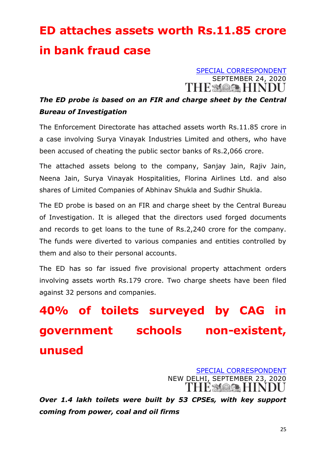## **ED attaches assets worth Rs.11.85 crore in bank fraud case**

[SPECIAL CORRESPONDENT](https://www.thehindu.com/news/national/ed-attaches-assets-worth-1185-crore-in-bank-fraud-case/article32681419.ece?homepage=true) SEPTEMBER 24, 2020

### *The ED probe is based on an FIR and charge sheet by the Central Bureau of Investigation*

The Enforcement Directorate has attached assets worth Rs.11.85 crore in a case involving Surya Vinayak Industries Limited and others, who have been accused of cheating the public sector banks of Rs.2,066 crore.

The attached assets belong to the company, Sanjay Jain, Rajiv Jain, Neena Jain, Surya Vinayak Hospitalities, Florina Airlines Ltd. and also shares of Limited Companies of Abhinav Shukla and Sudhir Shukla.

The ED probe is based on an FIR and charge sheet by the Central Bureau of Investigation. It is alleged that the directors used forged documents and records to get loans to the tune of Rs.2,240 crore for the company. The funds were diverted to various companies and entities controlled by them and also to their personal accounts.

The ED has so far issued five provisional property attachment orders involving assets worth Rs.179 crore. Two charge sheets have been filed against 32 persons and companies.

**40% of toilets surveyed by CAG in government schools non-existent, unused**

> [SPECIAL CORRESPONDENT](https://www.thehindu.com/news/national/40-of-toilets-surveyed-by-cag-in-govt-schools-non-existent-unused/article32680816.ece?homepage=true) NEW DELHI, SEPTEMBER 23, 2020 HE SAQAR HIN

*Over 1.4 lakh toilets were built by 53 CPSEs, with key support coming from power, coal and oil firms*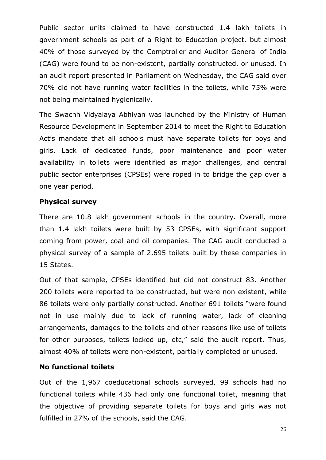Public sector units claimed to have constructed 1.4 lakh toilets in government schools as part of a Right to Education project, but almost 40% of those surveyed by the Comptroller and Auditor General of India (CAG) were found to be non-existent, partially constructed, or unused. In an audit report presented in Parliament on Wednesday, the CAG said over 70% did not have running water facilities in the toilets, while 75% were not being maintained hygienically.

The Swachh Vidyalaya Abhiyan was launched by the Ministry of Human Resource Development in September 2014 to meet the Right to Education Act's mandate that all schools must have separate toilets for boys and girls. Lack of dedicated funds, poor maintenance and poor water availability in toilets were identified as major challenges, and central public sector enterprises (CPSEs) were roped in to bridge the gap over a one year period.

#### **Physical survey**

There are 10.8 lakh government schools in the country. Overall, more than 1.4 lakh toilets were built by 53 CPSEs, with significant support coming from power, coal and oil companies. The CAG audit conducted a physical survey of a sample of 2,695 toilets built by these companies in 15 States.

Out of that sample, CPSEs identified but did not construct 83. Another 200 toilets were reported to be constructed, but were non-existent, while 86 toilets were only partially constructed. Another 691 toilets "were found not in use mainly due to lack of running water, lack of cleaning arrangements, damages to the toilets and other reasons like use of toilets for other purposes, toilets locked up, etc," said the audit report. Thus, almost 40% of toilets were non-existent, partially completed or unused.

#### **No functional toilets**

Out of the 1,967 coeducational schools surveyed, 99 schools had no functional toilets while 436 had only one functional toilet, meaning that the objective of providing separate toilets for boys and girls was not fulfilled in 27% of the schools, said the CAG.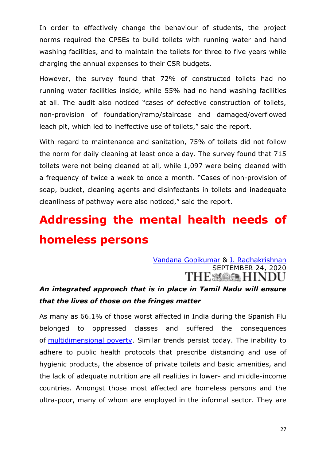In order to effectively change the behaviour of students, the project norms required the CPSEs to build toilets with running water and hand washing facilities, and to maintain the toilets for three to five years while charging the annual expenses to their CSR budgets.

However, the survey found that 72% of constructed toilets had no running water facilities inside, while 55% had no hand washing facilities at all. The audit also noticed "cases of defective construction of toilets, non-provision of foundation/ramp/staircase and damaged/overflowed leach pit, which led to ineffective use of toilets," said the report.

With regard to maintenance and sanitation, 75% of toilets did not follow the norm for daily cleaning at least once a day. The survey found that 715 toilets were not being cleaned at all, while 1,097 were being cleaned with a frequency of twice a week to once a month. "Cases of non-provision of soap, bucket, cleaning agents and disinfectants in toilets and inadequate cleanliness of pathway were also noticed," said the report.

### **Addressing the mental health needs of homeless persons**

#### [Vandana Gopikumar](https://www.thehindu.com/profile/author/Vandana-Gopikumar-3446/) & [J. Radhakrishnan](https://www.thehindu.com/profile/author/J-Radhakrishnan-137964/) SEPTEMBER 24, 2020 THE MOOR HINDU

### *An integrated approach that is in place in Tamil Nadu will ensure that the lives of those on the fringes matter*

As many as 66.1% of those worst affected in India during the Spanish Flu belonged to oppressed classes and suffered the consequences of [multidimensional poverty.](https://www.thehindu.com/news/national/multidimensional-poverty-index-india/article25359230.ece) Similar trends persist today. The inability to adhere to public health protocols that prescribe distancing and use of hygienic products, the absence of private toilets and basic amenities, and the lack of adequate nutrition are all realities in lower- and middle-income countries. Amongst those most affected are homeless persons and the ultra-poor, many of whom are employed in the informal sector. They are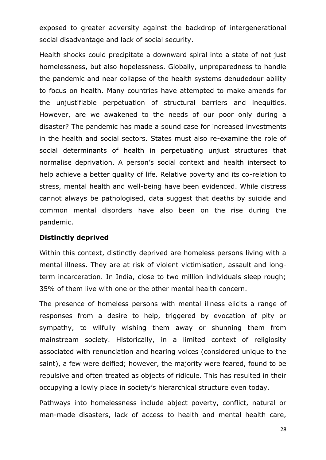exposed to greater adversity against the backdrop of intergenerational social disadvantage and lack of social security.

Health shocks could precipitate a downward spiral into a state of not just homelessness, but also hopelessness. Globally, unpreparedness to handle the pandemic and near collapse of the health systems denudedour ability to focus on health. Many countries have attempted to make amends for the unjustifiable perpetuation of structural barriers and inequities. However, are we awakened to the needs of our poor only during a disaster? The pandemic has made a sound case for increased investments in the health and social sectors. States must also re-examine the role of social determinants of health in perpetuating unjust structures that normalise deprivation. A person's social context and health intersect to help achieve a better quality of life. Relative poverty and its co-relation to stress, mental health and well-being have been evidenced. While distress cannot always be pathologised, data suggest that deaths by suicide and common mental disorders have also been on the rise during the pandemic.

#### **Distinctly deprived**

Within this context, distinctly deprived are homeless persons living with a mental illness. They are at risk of violent victimisation, assault and longterm incarceration. In India, close to two million individuals sleep rough; 35% of them live with one or the other mental health concern.

The presence of homeless persons with mental illness elicits a range of responses from a desire to help, triggered by evocation of pity or sympathy, to wilfully wishing them away or shunning them from mainstream society. Historically, in a limited context of religiosity associated with renunciation and hearing voices (considered unique to the saint), a few were deified; however, the majority were feared, found to be repulsive and often treated as objects of ridicule. This has resulted in their occupying a lowly place in society's hierarchical structure even today.

Pathways into homelessness include abject poverty, conflict, natural or man-made disasters, lack of access to health and mental health care,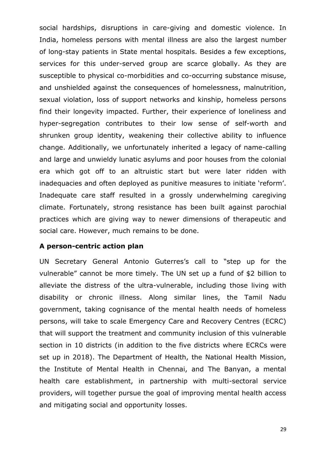social hardships, disruptions in care-giving and domestic violence. In India, homeless persons with mental illness are also the largest number of long-stay patients in State mental hospitals. Besides a few exceptions, services for this under-served group are scarce globally. As they are susceptible to physical co-morbidities and co-occurring substance misuse, and unshielded against the consequences of homelessness, malnutrition, sexual violation, loss of support networks and kinship, homeless persons find their longevity impacted. Further, their experience of loneliness and hyper-segregation contributes to their low sense of self-worth and shrunken group identity, weakening their collective ability to influence change. Additionally, we unfortunately inherited a legacy of name-calling and large and unwieldy lunatic asylums and poor houses from the colonial era which got off to an altruistic start but were later ridden with inadequacies and often deployed as punitive measures to initiate 'reform'. Inadequate care staff resulted in a grossly underwhelming caregiving climate. Fortunately, strong resistance has been built against parochial practices which are giving way to newer dimensions of therapeutic and social care. However, much remains to be done.

#### **A person-centric action plan**

UN Secretary General Antonio Guterres's call to "step up for the vulnerable" cannot be more timely. The UN set up a fund of \$2 billion to alleviate the distress of the ultra-vulnerable, including those living with disability or chronic illness. Along similar lines, the Tamil Nadu government, taking cognisance of the mental health needs of homeless persons, will take to scale Emergency Care and Recovery Centres (ECRC) that will support the treatment and community inclusion of this vulnerable section in 10 districts (in addition to the five districts where ECRCs were set up in 2018). The Department of Health, the National Health Mission, the Institute of Mental Health in Chennai, and The Banyan, a mental health care establishment, in partnership with multi-sectoral service providers, will together pursue the goal of improving mental health access and mitigating social and opportunity losses.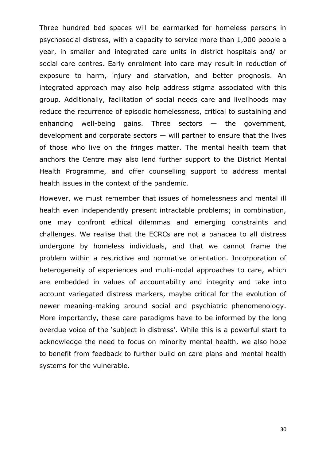Three hundred bed spaces will be earmarked for homeless persons in psychosocial distress, with a capacity to service more than 1,000 people a year, in smaller and integrated care units in district hospitals and/ or social care centres. Early enrolment into care may result in reduction of exposure to harm, injury and starvation, and better prognosis. An integrated approach may also help address stigma associated with this group. Additionally, facilitation of social needs care and livelihoods may reduce the recurrence of episodic homelessness, critical to sustaining and enhancing well-being gains. Three sectors  $-$  the government, development and corporate sectors — will partner to ensure that the lives of those who live on the fringes matter. The mental health team that anchors the Centre may also lend further support to the District Mental Health Programme, and offer counselling support to address mental health issues in the context of the pandemic.

However, we must remember that issues of homelessness and mental ill health even independently present intractable problems; in combination, one may confront ethical dilemmas and emerging constraints and challenges. We realise that the ECRCs are not a panacea to all distress undergone by homeless individuals, and that we cannot frame the problem within a restrictive and normative orientation. Incorporation of heterogeneity of experiences and multi-nodal approaches to care, which are embedded in values of accountability and integrity and take into account variegated distress markers, maybe critical for the evolution of newer meaning-making around social and psychiatric phenomenology. More importantly, these care paradigms have to be informed by the long overdue voice of the 'subject in distress'. While this is a powerful start to acknowledge the need to focus on minority mental health, we also hope to benefit from feedback to further build on care plans and mental health systems for the vulnerable.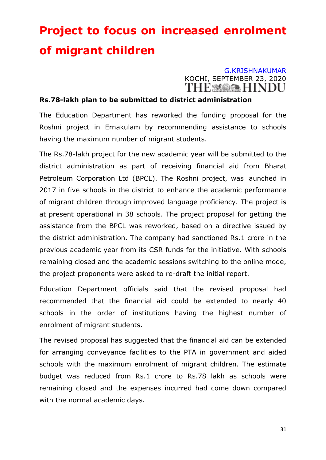## **Project to focus on increased enrolment of migrant children**

### [G.KRISHNAKUMAR](https://www.thehindu.com/profile/author/G-KRISHNAKUMAR-22349/) KOCHI, SEPTEMBER 23, 2020<br>THE MOOR HINDIT

#### **Rs.78-lakh plan to be submitted to district administration**

The Education Department has reworked the funding proposal for the Roshni project in Ernakulam by recommending assistance to schools having the maximum number of migrant students.

The Rs.78-lakh project for the new academic year will be submitted to the district administration as part of receiving financial aid from Bharat Petroleum Corporation Ltd (BPCL). The Roshni project, was launched in 2017 in five schools in the district to enhance the academic performance of migrant children through improved language proficiency. The project is at present operational in 38 schools. The project proposal for getting the assistance from the BPCL was reworked, based on a directive issued by the district administration. The company had sanctioned Rs.1 crore in the previous academic year from its CSR funds for the initiative. With schools remaining closed and the academic sessions switching to the online mode, the project proponents were asked to re-draft the initial report.

Education Department officials said that the revised proposal had recommended that the financial aid could be extended to nearly 40 schools in the order of institutions having the highest number of enrolment of migrant students.

The revised proposal has suggested that the financial aid can be extended for arranging conveyance facilities to the PTA in government and aided schools with the maximum enrolment of migrant children. The estimate budget was reduced from Rs.1 crore to Rs.78 lakh as schools were remaining closed and the expenses incurred had come down compared with the normal academic days.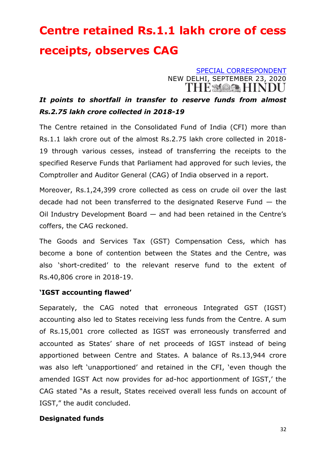## **Centre retained Rs.1.1 lakh crore of cess receipts, observes CAG**

[SPECIAL CORRESPONDENT](https://www.thehindu.com/business/centre-retained-11-lakh-cr-of-cess-receipts/article32680256.ece?homepage=true) NEW DELHI, SEPTEMBER 23, 2020 THE MARK HINDU

### *It points to shortfall in transfer to reserve funds from almost Rs.2.75 lakh crore collected in 2018-19*

The Centre retained in the Consolidated Fund of India (CFI) more than Rs.1.1 lakh crore out of the almost Rs.2.75 lakh crore collected in 2018- 19 through various cesses, instead of transferring the receipts to the specified Reserve Funds that Parliament had approved for such levies, the Comptroller and Auditor General (CAG) of India observed in a report.

Moreover, Rs.1,24,399 crore collected as cess on crude oil over the last decade had not been transferred to the designated Reserve Fund  $-$  the Oil Industry Development Board — and had been retained in the Centre's coffers, the CAG reckoned.

The Goods and Services Tax (GST) Compensation Cess, which has become a bone of contention between the States and the Centre, was also 'short-credited' to the relevant reserve fund to the extent of Rs.40,806 crore in 2018-19.

#### **'IGST accounting flawed'**

Separately, the CAG noted that erroneous Integrated GST (IGST) accounting also led to States receiving less funds from the Centre. A sum of Rs.15,001 crore collected as IGST was erroneously transferred and accounted as States' share of net proceeds of IGST instead of being apportioned between Centre and States. A balance of Rs.13,944 crore was also left 'unapportioned' and retained in the CFI, 'even though the amended IGST Act now provides for ad-hoc apportionment of IGST,' the CAG stated "As a result, States received overall less funds on account of IGST," the audit concluded.

#### **Designated funds**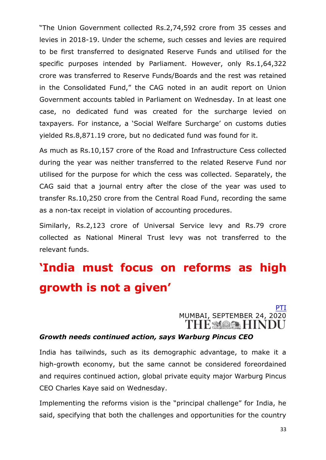"The Union Government collected Rs.2,74,592 crore from 35 cesses and levies in 2018-19. Under the scheme, such cesses and levies are required to be first transferred to designated Reserve Funds and utilised for the specific purposes intended by Parliament. However, only Rs.1,64,322 crore was transferred to Reserve Funds/Boards and the rest was retained in the Consolidated Fund," the CAG noted in an audit report on Union Government accounts tabled in Parliament on Wednesday. In at least one case, no dedicated fund was created for the surcharge levied on taxpayers. For instance, a 'Social Welfare Surcharge' on customs duties yielded Rs.8,871.19 crore, but no dedicated fund was found for it.

As much as Rs.10,157 crore of the Road and Infrastructure Cess collected during the year was neither transferred to the related Reserve Fund nor utilised for the purpose for which the cess was collected. Separately, the CAG said that a journal entry after the close of the year was used to transfer Rs.10,250 crore from the Central Road Fund, recording the same as a non-tax receipt in violation of accounting procedures.

Similarly, Rs.2,123 crore of Universal Service levy and Rs.79 crore collected as National Mineral Trust levy was not transferred to the relevant funds.

### **'India must focus on reforms as high growth is not a given'**

### [PTI](https://www.thehindu.com/business/Economy/india-must-focus-on-reforms-as-high-growth-is-not-a-given/article32680388.ece) MUMBAI, SEPTEMBER 24, 2020

#### *Growth needs continued action, says Warburg Pincus CEO*

India has tailwinds, such as its demographic advantage, to make it a high-growth economy, but the same cannot be considered foreordained and requires continued action, global private equity major Warburg Pincus CEO Charles Kaye said on Wednesday.

Implementing the reforms vision is the "principal challenge" for India, he said, specifying that both the challenges and opportunities for the country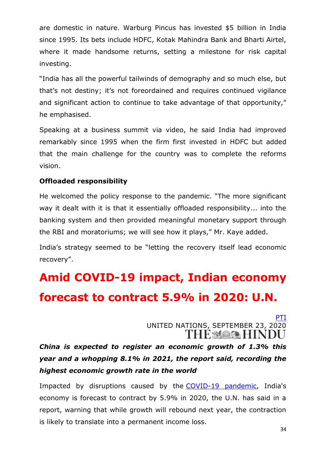are domestic in nature. Warburg Pincus has invested \$5 billion in India since 1995. Its bets include HDFC, Kotak Mahindra Bank and Bharti Airtel, where it made handsome returns, setting a milestone for risk capital investing.

"India has all the powerful tailwinds of demography and so much else, but that's not destiny; it's not foreordained and requires continued vigilance and significant action to continue to take advantage of that opportunity," he emphasised.

Speaking at a business summit via video, he said India had improved remarkably since 1995 when the firm first invested in HDFC but added that the main challenge for the country was to complete the reforms vision.

#### **Offloaded responsibility**

He welcomed the policy response to the pandemic. "The more significant way it dealt with it is that it essentially offloaded responsibility... into the banking system and then provided meaningful monetary support through the RBI and moratoriums; we will see how it plays," Mr. Kaye added.

India's strategy seemed to be "letting the recovery itself lead economic recovery".

## **Amid COVID-19 impact, Indian economy forecast to contract 5.9% in 2020: U.N.**

[PTI](https://www.thehindu.com/news/national/amid-covid-19-impact-indian-economy-forecast-to-contract-59-in-2020-un/article32675047.ece) UNITED NATIONS, SEPTEMBER 23, 2020 **THE MARE HINDU** 

*China is expected to register an economic growth of 1.3% this year and a whopping 8.1% in 2021, the report said, recording the highest economic growth rate in the world*

Impacted by disruptions caused by the [COVID-19 pandemic,](https://www.thehindu.com/topic/coronavirus/) India's economy is forecast to contract by 5.9% in 2020, the U.N. has said in a report, warning that while growth will rebound next year, the contraction is likely to translate into a permanent income loss.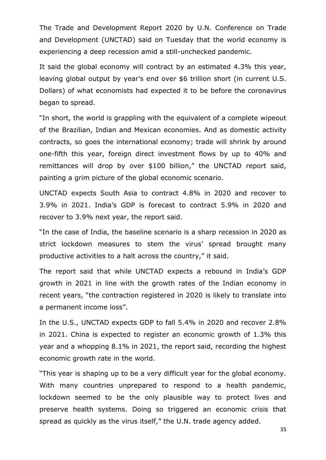The Trade and Development Report 2020 by U.N. Conference on Trade and Development (UNCTAD) said on Tuesday that the world economy is experiencing a deep recession amid a still-unchecked pandemic.

It said the global economy will contract by an estimated 4.3% this year, leaving global output by year's end over \$6 trillion short (in current U.S. Dollars) of what economists had expected it to be before the coronavirus began to spread.

"In short, the world is grappling with the equivalent of a complete wipeout of the Brazilian, Indian and Mexican economies. And as domestic activity contracts, so goes the international economy; trade will shrink by around one-fifth this year, foreign direct investment flows by up to 40% and remittances will drop by over \$100 billion," the UNCTAD report said, painting a grim picture of the global economic scenario.

UNCTAD expects South Asia to contract 4.8% in 2020 and recover to 3.9% in 2021. India's GDP is forecast to contract 5.9% in 2020 and recover to 3.9% next year, the report said.

"In the case of India, the baseline scenario is a sharp recession in 2020 as strict lockdown measures to stem the virus' spread brought many productive activities to a halt across the country," it said.

The report said that while UNCTAD expects a rebound in India's GDP growth in 2021 in line with the growth rates of the Indian economy in recent years, "the contraction registered in 2020 is likely to translate into a permanent income loss".

In the U.S., UNCTAD expects GDP to fall 5.4% in 2020 and recover 2.8% in 2021. China is expected to register an economic growth of 1.3% this year and a whopping 8.1% in 2021, the report said, recording the highest economic growth rate in the world.

"This year is shaping up to be a very difficult year for the global economy. With many countries unprepared to respond to a health pandemic, lockdown seemed to be the only plausible way to protect lives and preserve health systems. Doing so triggered an economic crisis that spread as quickly as the virus itself," the U.N. trade agency added.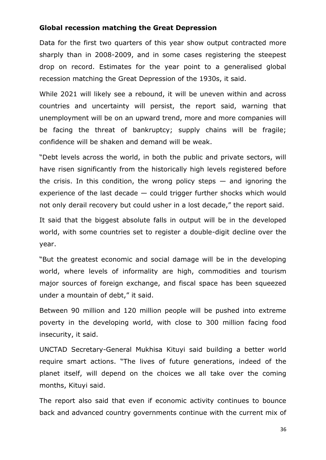#### **Global recession matching the Great Depression**

Data for the first two quarters of this year show output contracted more sharply than in 2008-2009, and in some cases registering the steepest drop on record. Estimates for the year point to a generalised global recession matching the Great Depression of the 1930s, it said.

While 2021 will likely see a rebound, it will be uneven within and across countries and uncertainty will persist, the report said, warning that unemployment will be on an upward trend, more and more companies will be facing the threat of bankruptcy; supply chains will be fragile; confidence will be shaken and demand will be weak.

"Debt levels across the world, in both the public and private sectors, will have risen significantly from the historically high levels registered before the crisis. In this condition, the wrong policy steps  $-$  and ignoring the experience of the last decade — could trigger further shocks which would not only derail recovery but could usher in a lost decade," the report said.

It said that the biggest absolute falls in output will be in the developed world, with some countries set to register a double-digit decline over the year.

"But the greatest economic and social damage will be in the developing world, where levels of informality are high, commodities and tourism major sources of foreign exchange, and fiscal space has been squeezed under a mountain of debt," it said.

Between 90 million and 120 million people will be pushed into extreme poverty in the developing world, with close to 300 million facing food insecurity, it said.

UNCTAD Secretary-General Mukhisa Kituyi said building a better world require smart actions. "The lives of future generations, indeed of the planet itself, will depend on the choices we all take over the coming months, Kituyi said.

The report also said that even if economic activity continues to bounce back and advanced country governments continue with the current mix of